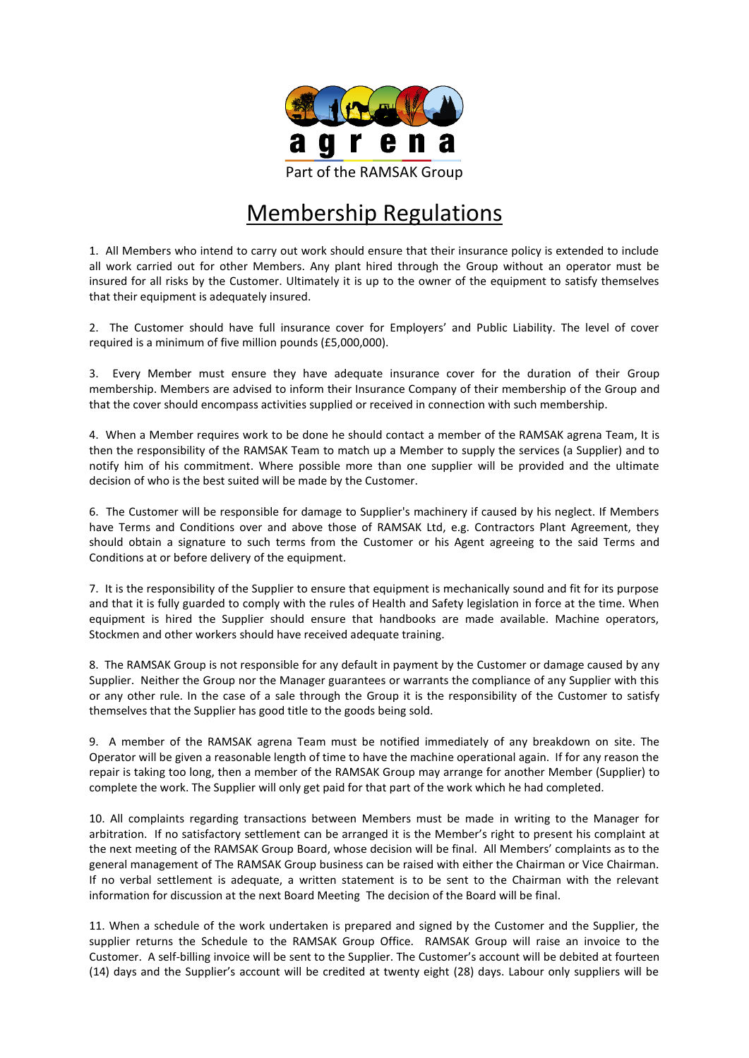

## Membership Regulations

1. All Members who intend to carry out work should ensure that their insurance policy is extended to include all work carried out for other Members. Any plant hired through the Group without an operator must be insured for all risks by the Customer. Ultimately it is up to the owner of the equipment to satisfy themselves that their equipment is adequately insured.

2. The Customer should have full insurance cover for Employers' and Public Liability. The level of cover required is a minimum of five million pounds (£5,000,000).

3. Every Member must ensure they have adequate insurance cover for the duration of their Group membership. Members are advised to inform their Insurance Company of their membership of the Group and that the cover should encompass activities supplied or received in connection with such membership.

4. When a Member requires work to be done he should contact a member of the RAMSAK agrena Team, It is then the responsibility of the RAMSAK Team to match up a Member to supply the services (a Supplier) and to notify him of his commitment. Where possible more than one supplier will be provided and the ultimate decision of who is the best suited will be made by the Customer.

6. The Customer will be responsible for damage to Supplier's machinery if caused by his neglect. If Members have Terms and Conditions over and above those of RAMSAK Ltd, e.g. Contractors Plant Agreement, they should obtain a signature to such terms from the Customer or his Agent agreeing to the said Terms and Conditions at or before delivery of the equipment.

7. It is the responsibility of the Supplier to ensure that equipment is mechanically sound and fit for its purpose and that it is fully guarded to comply with the rules of Health and Safety legislation in force at the time. When equipment is hired the Supplier should ensure that handbooks are made available. Machine operators, Stockmen and other workers should have received adequate training.

8. The RAMSAK Group is not responsible for any default in payment by the Customer or damage caused by any Supplier. Neither the Group nor the Manager guarantees or warrants the compliance of any Supplier with this or any other rule. In the case of a sale through the Group it is the responsibility of the Customer to satisfy themselves that the Supplier has good title to the goods being sold.

9. A member of the RAMSAK agrena Team must be notified immediately of any breakdown on site. The Operator will be given a reasonable length of time to have the machine operational again. If for any reason the repair is taking too long, then a member of the RAMSAK Group may arrange for another Member (Supplier) to complete the work. The Supplier will only get paid for that part of the work which he had completed.

10. All complaints regarding transactions between Members must be made in writing to the Manager for arbitration. If no satisfactory settlement can be arranged it is the Member's right to present his complaint at the next meeting of the RAMSAK Group Board, whose decision will be final. All Members' complaints as to the general management of The RAMSAK Group business can be raised with either the Chairman or Vice Chairman. If no verbal settlement is adequate, a written statement is to be sent to the Chairman with the relevant information for discussion at the next Board Meeting The decision of the Board will be final.

11. When a schedule of the work undertaken is prepared and signed by the Customer and the Supplier, the supplier returns the Schedule to the RAMSAK Group Office. RAMSAK Group will raise an invoice to the Customer. A self-billing invoice will be sent to the Supplier. The Customer's account will be debited at fourteen (14) days and the Supplier's account will be credited at twenty eight (28) days. Labour only suppliers will be